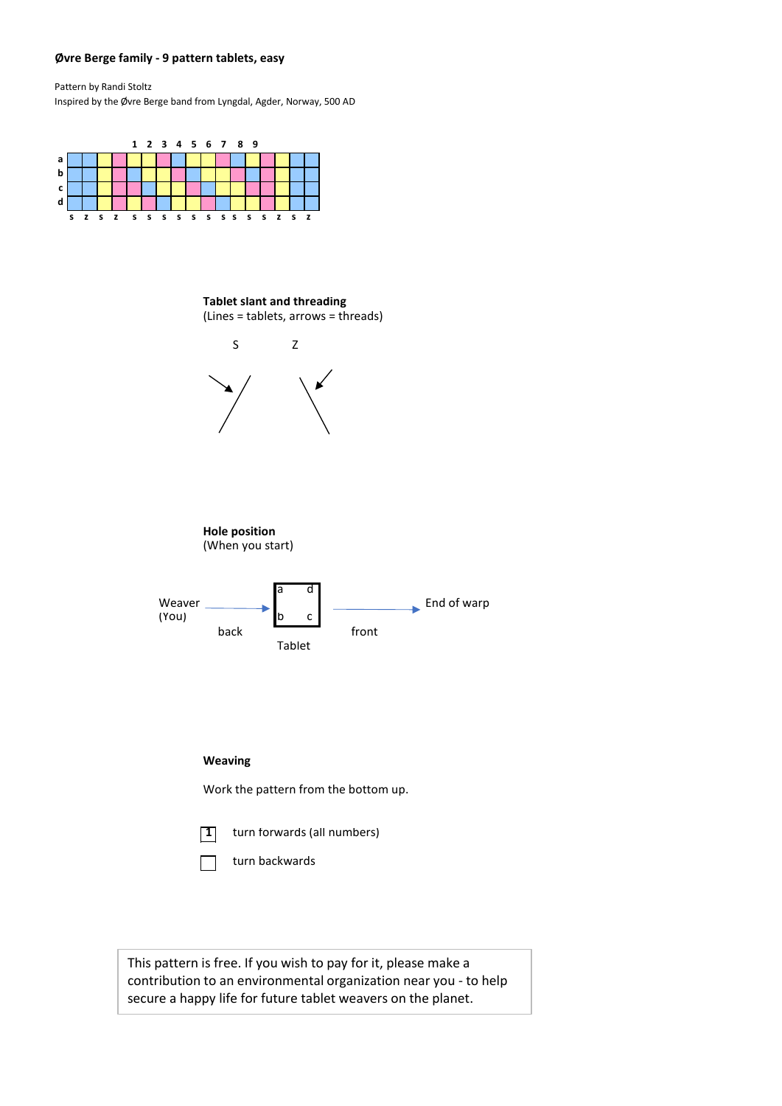## **Øvre Berge family - 9 pattern tablets, easy**

Pattern by Randi Stoltz Inspired by the Øvre Berge band from Lyngdal, Agder, Norway, 500 AD



**Tablet slant and threading** (Lines = tablets, arrows = threads)



**1** turn forwards (all numbers)

turn backwards

This pattern is free. If you wish to pay for it, please make a contribution to an environmental organization near you - to help secure a happy life for future tablet weavers on the planet.